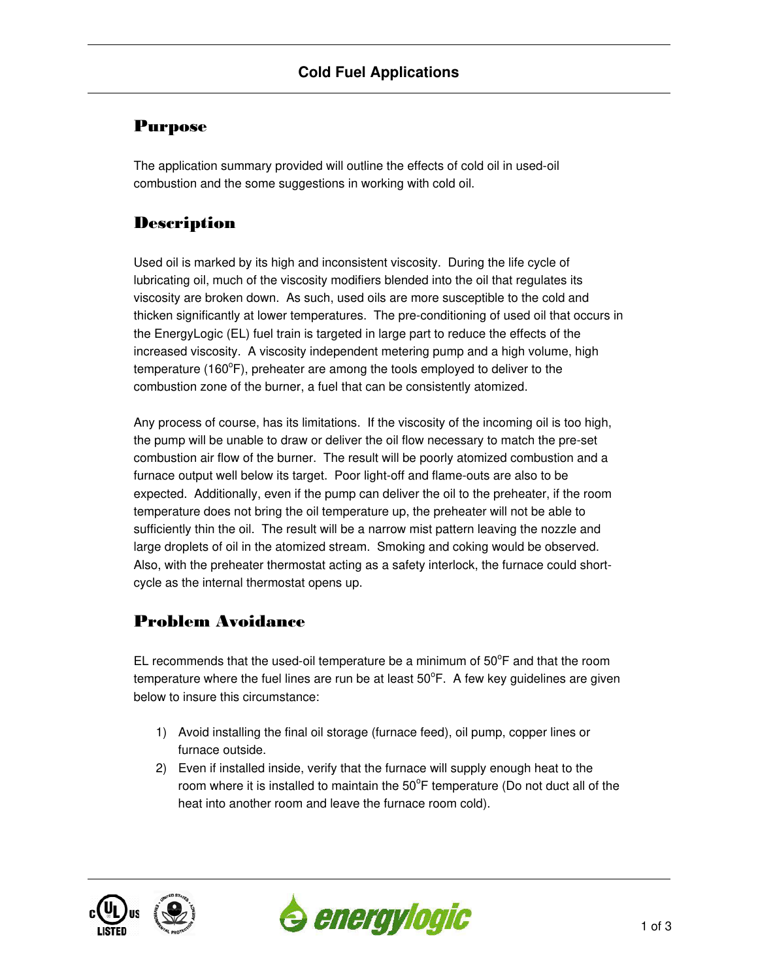## Purpose

The application summary provided will outline the effects of cold oil in used-oil combustion and the some suggestions in working with cold oil.

# **Description**

Used oil is marked by its high and inconsistent viscosity. During the life cycle of lubricating oil, much of the viscosity modifiers blended into the oil that regulates its viscosity are broken down. As such, used oils are more susceptible to the cold and thicken significantly at lower temperatures. The pre-conditioning of used oil that occurs in the EnergyLogic (EL) fuel train is targeted in large part to reduce the effects of the increased viscosity. A viscosity independent metering pump and a high volume, high temperature (160 $\degree$ F), preheater are among the tools employed to deliver to the combustion zone of the burner, a fuel that can be consistently atomized.

Any process of course, has its limitations. If the viscosity of the incoming oil is too high, the pump will be unable to draw or deliver the oil flow necessary to match the pre-set combustion air flow of the burner. The result will be poorly atomized combustion and a furnace output well below its target. Poor light-off and flame-outs are also to be expected. Additionally, even if the pump can deliver the oil to the preheater, if the room temperature does not bring the oil temperature up, the preheater will not be able to sufficiently thin the oil. The result will be a narrow mist pattern leaving the nozzle and large droplets of oil in the atomized stream. Smoking and coking would be observed. Also, with the preheater thermostat acting as a safety interlock, the furnace could shortcycle as the internal thermostat opens up.

## Problem Avoidance

EL recommends that the used-oil temperature be a minimum of  $50^{\circ}$ F and that the room temperature where the fuel lines are run be at least  $50^{\circ}$ F. A few key guidelines are given below to insure this circumstance:

- 1) Avoid installing the final oil storage (furnace feed), oil pump, copper lines or furnace outside.
- 2) Even if installed inside, verify that the furnace will supply enough heat to the room where it is installed to maintain the  $50^{\circ}$ F temperature (Do not duct all of the heat into another room and leave the furnace room cold).



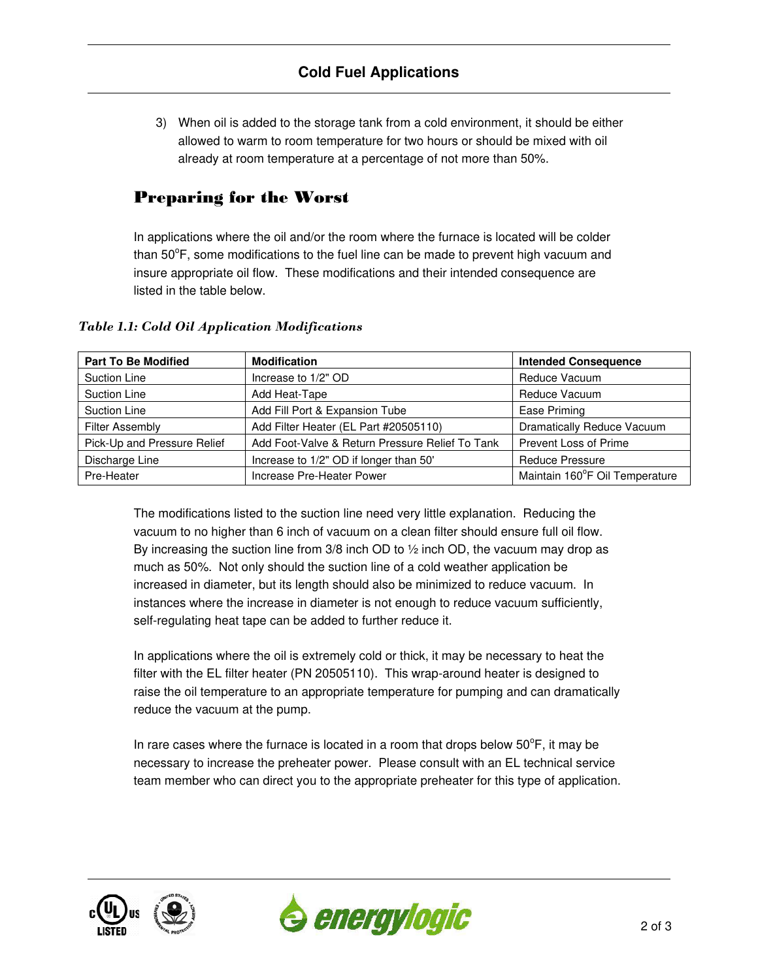3) When oil is added to the storage tank from a cold environment, it should be either allowed to warm to room temperature for two hours or should be mixed with oil already at room temperature at a percentage of not more than 50%.

## Preparing for the Worst

In applications where the oil and/or the room where the furnace is located will be colder than  $50^{\circ}$ F, some modifications to the fuel line can be made to prevent high vacuum and insure appropriate oil flow. These modifications and their intended consequence are listed in the table below.

| <b>Part To Be Modified</b>  | <b>Modification</b>                             | <b>Intended Consequence</b>    |
|-----------------------------|-------------------------------------------------|--------------------------------|
| <b>Suction Line</b>         | Increase to 1/2" OD                             | Reduce Vacuum                  |
| <b>Suction Line</b>         | Add Heat-Tape                                   | Reduce Vacuum                  |
| Suction Line                | Add Fill Port & Expansion Tube                  | Ease Priming                   |
| <b>Filter Assembly</b>      | Add Filter Heater (EL Part #20505110)           | Dramatically Reduce Vacuum     |
| Pick-Up and Pressure Relief | Add Foot-Valve & Return Pressure Relief To Tank | Prevent Loss of Prime          |
| Discharge Line              | Increase to 1/2" OD if longer than 50"          | <b>Reduce Pressure</b>         |
| Pre-Heater                  | Increase Pre-Heater Power                       | Maintain 160°F Oil Temperature |

#### *Table 1.1: Cold Oil Application Modifications*

The modifications listed to the suction line need very little explanation. Reducing the vacuum to no higher than 6 inch of vacuum on a clean filter should ensure full oil flow. By increasing the suction line from  $3/8$  inch OD to  $\frac{1}{2}$  inch OD, the vacuum may drop as much as 50%. Not only should the suction line of a cold weather application be increased in diameter, but its length should also be minimized to reduce vacuum. In instances where the increase in diameter is not enough to reduce vacuum sufficiently, self-regulating heat tape can be added to further reduce it.

In applications where the oil is extremely cold or thick, it may be necessary to heat the filter with the EL filter heater (PN 20505110). This wrap-around heater is designed to raise the oil temperature to an appropriate temperature for pumping and can dramatically reduce the vacuum at the pump.

In rare cases where the furnace is located in a room that drops below  $50^{\circ}$ F, it may be necessary to increase the preheater power. Please consult with an EL technical service team member who can direct you to the appropriate preheater for this type of application.